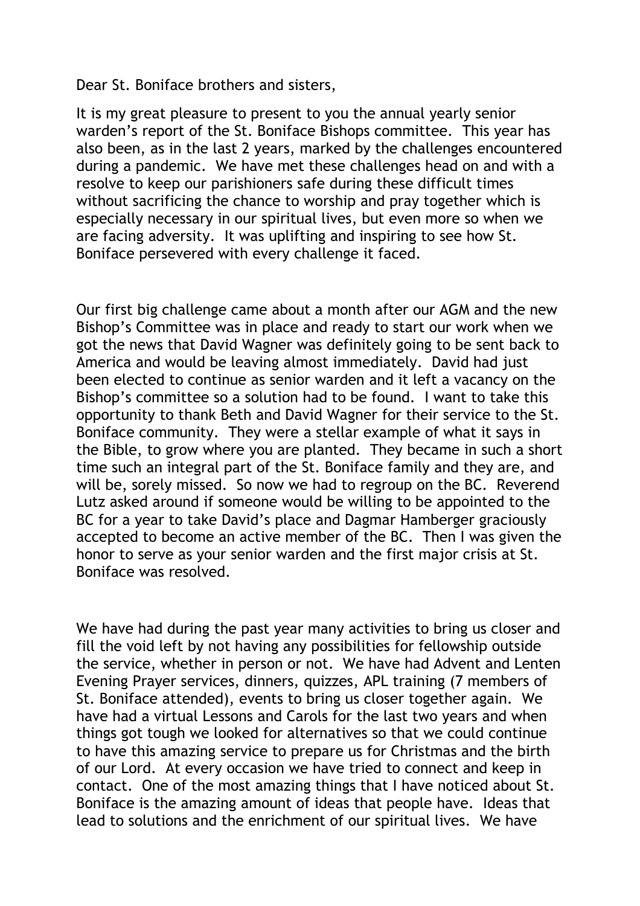Dear St. Boniface brothers and sisters,

It is my great pleasure to present to you the annual yearly senior warden's report of the St. Boniface Bishops committee. This year has also been, as in the last 2 years, marked by the challenges encountered during a pandemic. We have met these challenges head on and with a resolve to keep our parishioners safe during these difficult times without sacrificing the chance to worship and pray together which is especially necessary in our spiritual lives, but even more so when we are facing adversity. It was uplifting and inspiring to see how St. Boniface persevered with every challenge it faced.

Our first big challenge came about a month after our AGM and the new Bishop's Committee was in place and ready to start our work when we got the news that David Wagner was definitely going to be sent back to America and would be leaving almost immediately. David had just been elected to continue as senior warden and it left a vacancy on the Bishop's committee so a solution had to be found. I want to take this opportunity to thank Beth and David Wagner for their service to the St. Boniface community. They were a stellar example of what it says in the Bible, to grow where you are planted. They became in such a short time such an integral part of the St. Boniface family and they are, and will be, sorely missed. So now we had to regroup on the BC. Reverend Lutz asked around if someone would be willing to be appointed to the BC for a year to take David's place and Dagmar Hamberger graciously accepted to become an active member of the BC. Then I was given the honor to serve as your senior warden and the first major crisis at St. Boniface was resolved.

We have had during the past year many activities to bring us closer and fill the void left by not having any possibilities for fellowship outside the service, whether in person or not. We have had Advent and Lenten Evening Prayer services, dinners, quizzes, APL training (7 members of St. Boniface attended), events to bring us closer together again. We have had a virtual Lessons and Carols for the last two years and when things got tough we looked for alternatives so that we could continue to have this amazing service to prepare us for Christmas and the birth of our Lord. At every occasion we have tried to connect and keep in contact. One of the most amazing things that I have noticed about St. Boniface is the amazing amount of ideas that people have. Ideas that lead to solutions and the enrichment of our spiritual lives. We have